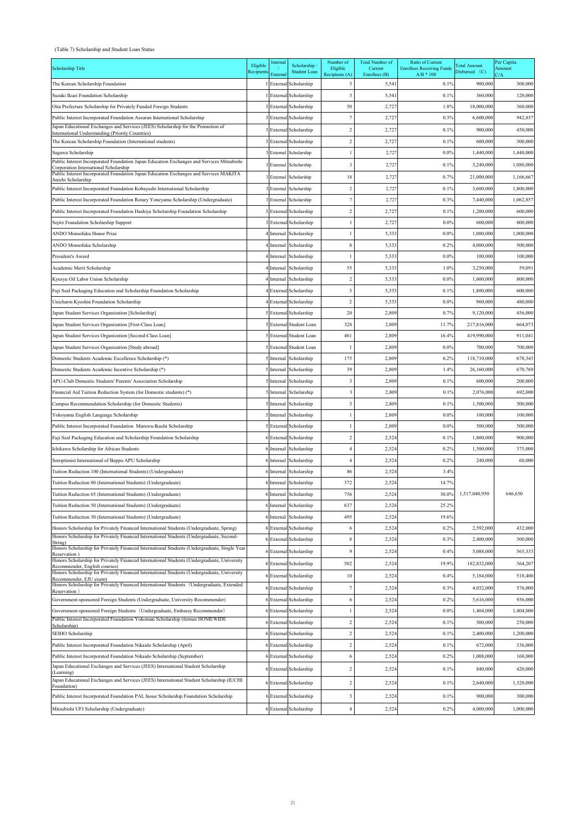## (Table 7) Scholarship and Student Loan Status

| <b>Scholarship Title</b>                                                                                                                                   | Eligible<br>Recipient: | Internal<br>External | Scholarship<br><b>Student Loan</b> | Number of<br>Eligible<br>Recipients (A) | Total Number of<br>Current<br>Enrollees (B) | Ratio of Current<br><b>Enrollees Receiving Funds</b><br>$A/B * 100$ | <b>Total Amount</b><br>Disbursed (C) | Per Capita<br>Amount<br>C/A |
|------------------------------------------------------------------------------------------------------------------------------------------------------------|------------------------|----------------------|------------------------------------|-----------------------------------------|---------------------------------------------|---------------------------------------------------------------------|--------------------------------------|-----------------------------|
| The Korean Scholarship Foundation                                                                                                                          |                        |                      | External Scholarship               | $\overline{\mathbf{3}}$                 | 5,541                                       | 0.1%                                                                | 900,000                              | 300,000                     |
| Suzaki Ikuei Foundation Scholarship                                                                                                                        |                        |                      | External Scholarship               | $\overline{3}$                          | 5,541                                       | 0.1%                                                                | 360,000                              | 120,000                     |
| Oita Prefecture Scholarship for Privately Funded Foreign Students                                                                                          |                        |                      | External Scholarship               | 50                                      | 2,727                                       | 1.8%                                                                | 18,000,000                           | 360,000                     |
| Public Interest Incorporated Foundation Assuran International Scholarship                                                                                  |                        |                      | External Scholarship               | $\tau$                                  | 2,727                                       | 0.3%                                                                | 6,600,000                            | 942,857                     |
| Japan Educational Exchanges and Services (JEES) Scholarship for the Promotion of<br>International Understanding (Priority Countries)                       |                        |                      | External Scholarship               | $\overline{2}$                          | 2,727                                       | 0.1%                                                                | 900,000                              | 450,000                     |
| The Korean Scholarship Foundation (International students)                                                                                                 |                        |                      | External Scholarship               | $\overline{2}$                          | 2,727                                       | 0.1%                                                                | 600,000                              | 300,000                     |
| Sagawa Scholarship                                                                                                                                         |                        |                      | External Scholarship               | 1                                       | 2,727                                       | 0.0%                                                                | 1,440,000                            | 1,440,000                   |
| Public Interest Incorporated Foundation Japan Education Exchanges and Services Mitsubishi<br>Corporation International Scholarship                         |                        |                      | External Scholarship               | $\overline{3}$                          | 2,727                                       | 0.1%                                                                | 3,240,000                            | 1,080,000                   |
| Public Interest Incorporated Foundation Japan Education Exchanges and Services MAKITA                                                                      |                        |                      | External Scholarship               | 18                                      | 2,727                                       | 0.7%                                                                | 21,000,000                           | 1,166,667                   |
| Jinichi Scholarship<br>Public Interest Incorporated Foundation Kobayashi International Scholarship                                                         |                        |                      | External Scholarship               | $\overline{2}$                          | 2,727                                       | 0.1%                                                                | 3,600,000                            | 1,800,000                   |
| Public Interest Incorporated Foundation Rotary Yoneyama Scholarship (Undergraduate)                                                                        |                        |                      | External Scholarship               | 7                                       | 2,727                                       | 0.3%                                                                | 7,440,000                            | 1,062,857                   |
| Public Interest Incorporated Foundation Hashiya Scholarship Foundation Scholarship                                                                         |                        |                      | External Scholarship               | $\overline{c}$                          | 2,727                                       | 0.1%                                                                | 1,200,000                            | 600,000                     |
| Sojitz Foundation Scholarship Support                                                                                                                      |                        |                      | External Scholarship               | $\mathbf{1}$                            | 2,727                                       | $0.0\%$                                                             | 600,000                              | 600,000                     |
| ANDO Momofuku Honor Prize                                                                                                                                  |                        |                      | Internal Scholarship               | $\mathbf{1}$                            | 5,333                                       | 0.0%                                                                | 1,000,000                            | 1,000,000                   |
| ANDO Momofuku Scholarship                                                                                                                                  |                        |                      | Internal Scholarship               | 8                                       | 5,333                                       | 0.2%                                                                | 4,000,000                            | 500,000                     |
| President's Award                                                                                                                                          |                        |                      | Internal Scholarship               | 1                                       | 5,333                                       | $0.0\%$                                                             | 100,000                              | 100,000                     |
| Academic Merit Scholarship                                                                                                                                 |                        |                      | Internal Scholarship               | 55                                      | 5,333                                       | 1.0%                                                                | 3,250,000                            | 59,091                      |
| Kyusyu Oil Labor Union Scholarship                                                                                                                         |                        |                      | Internal Scholarship               | $\overline{c}$                          | 5,333                                       | $0.0\%$                                                             | 1,600,000                            | 800,000                     |
| Fuji Seal Packaging Education and Scholarship Foundation Scholarship                                                                                       |                        |                      | External Scholarship               | 3                                       | 5,333                                       | 0.1%                                                                | 1,800,000                            | 600,000                     |
| Unicharm Kyoshin Foundation Scholarship                                                                                                                    |                        |                      | External Scholarship               | $\overline{c}$                          | 5,333                                       | $0.0\%$                                                             | 960,000                              | 480,000                     |
| Japan Student Services Organization [Scholarship]                                                                                                          |                        |                      | External Scholarship               | 20                                      | 2,809                                       | 0.7%                                                                | 9,120,000                            | 456,000                     |
| Japan Student Services Organization [First-Class Loan]                                                                                                     |                        |                      | <b>External Student Loan</b>       | 328                                     | 2,809                                       | 11.7%                                                               | 217,816,000                          | 664,073                     |
| Japan Student Services Organization [Second-Class Loan]                                                                                                    |                        |                      | External Student Loan              | 461                                     | 2,809                                       | 16.4%                                                               | 419,990,000                          | 911,041                     |
| Japan Student Services Organization [Study abroad]                                                                                                         |                        |                      | <b>5</b> External Student Loan     | 1                                       | 2,809                                       | $0.0\%$                                                             | 700,000                              | 700,000                     |
| Domestic Students Academic Excellence Scholarship (*)                                                                                                      |                        |                      | Internal Scholarship               | 175                                     | 2,809                                       | 6.2%                                                                | 118,710,000                          | 678,343                     |
| Domestic Students Academic Incentive Scholarship (*)                                                                                                       |                        |                      | 5 Internal Scholarship             | 39                                      | 2,809                                       | 1.4%                                                                | 26,160,000                           | 670,769                     |
| APU-Club Domestic Students' Parents' Association Scholarship                                                                                               |                        |                      | 5 Internal Scholarship             | $\overline{\mathbf{3}}$                 | 2,809                                       | 0.1%                                                                | 600,000                              | 200,000                     |
| Financial Aid Tuition Reduction System (for Domestic students) (*)                                                                                         |                        |                      | Internal Scholarship               | 3                                       | 2,809                                       | 0.1%                                                                | 2,076,000                            | 692,000                     |
| Campus Recommendation Scholarship (for Domestic Students)                                                                                                  |                        |                      | Internal Scholarship               | $\overline{\mathbf{3}}$                 | 2,809                                       | 0.1%                                                                | 1,500,000                            | 500,000                     |
| Yokoyama English Language Scholarship                                                                                                                      |                        |                      | Internal Scholarship               | 1                                       | 2,809                                       | $0.0\%$                                                             | 100,000                              | 100,000                     |
| Public Interest Incorporated Foundation Maruwa-Ikushi Scholarship                                                                                          |                        |                      | External Scholarship               | $\mathbf{1}$                            | 2,809                                       | $0.0\%$                                                             | 500,000                              | 500,000                     |
| Fuji Seal Packaging Education and Scholarship Foundation Scholarship                                                                                       |                        |                      | External Scholarship               | $\overline{c}$                          | 2,524                                       | 0.1%                                                                | 1,800,000                            | 900,000                     |
| Ichikawa Scholarship for African Students                                                                                                                  |                        |                      | Scholarship                        | $\overline{4}$                          | 2,524                                       | 0.2%                                                                | 1,500,000                            | 375,000                     |
| Soroptimist International of Beppu APU Scholarship                                                                                                         |                        |                      | <b>fInternal</b> Scholarship       | $\overline{4}$                          | 2,524                                       | 0.2%                                                                | 240,000                              | 60,000                      |
| Tuition Reduction 100 (International Students) (Undergraduate)                                                                                             |                        |                      | Internal Scholarship               | 86                                      | 2,524                                       | 3.4%                                                                | 1,517,040,950<br>2,592,000           | 646,650<br>432,000          |
| Tuition Reduction 80 (International Students) (Undergraduate)                                                                                              |                        |                      | Internal Scholarship               | 372                                     | 2,524                                       | 14.7%                                                               |                                      |                             |
| Tuition Reduction 65 (International Students) (Undergraduate)                                                                                              |                        |                      | <b>Internal Scholarship</b>        | 756                                     | 2,524                                       | 30.0%                                                               |                                      |                             |
| Tuition Reduction 50 (International Students) (Undergraduate)                                                                                              |                        |                      | Internal Scholarship               | 637                                     | 2,524                                       | 25.2%                                                               |                                      |                             |
| Tuition Reduction 30 (International Students) (Undergraduate)                                                                                              |                        |                      | Internal Scholarship               | 495                                     | 2,524                                       | 19.6%                                                               |                                      |                             |
| Honors Scholarship for Privately Financed International Students (Undergraduate, Spring)                                                                   |                        |                      | 6 External Scholarship             | 6                                       | 2,524                                       | 0.2%                                                                |                                      |                             |
| Honors Scholarship for Privately Financed International Students (Undergraduate, Second-                                                                   |                        |                      | 6 External Scholarship             | 8                                       | 2,524                                       | 0.3%                                                                | 2,400,000                            | 300,000                     |
| String)<br>Honors Scholarship for Privately Financed International Students (Undergraduate, Single Year                                                    |                        |                      | 6 External Scholarship             | 9                                       | 2,524                                       | 0.4%                                                                | 5,088,000                            | 565,333                     |
| Reservation)<br>Honors Scholarship for Privately Financed International Students (Undergraduate, University                                                |                        |                      |                                    |                                         |                                             |                                                                     |                                      |                             |
| Recommender, English courses)<br>Honors Scholarship for Privately Financed International Students (Undergraduate, University                               |                        |                      | <b>External Scholarship</b>        | 502                                     | 2,524                                       | 19.9%                                                               | 182,832,000                          | 364,207                     |
| Recommender, EJU exam)<br>Honors Scholarship for Privately Financed International Students (Undergraduate, Extended                                        |                        |                      | <b>External Scholarship</b>        | 10                                      | 2,524                                       | 0.4%                                                                | 5,184,000                            | 518,400                     |
| Reservation)                                                                                                                                               |                        |                      | 6 External Scholarship             | 7                                       | 2,524                                       | 0.3%                                                                | 4,032,000                            | 576,000                     |
| Government-sponsored Foreign Students (Undergraduate, University Recommender)                                                                              |                        |                      | 6 External Scholarship             | 6                                       | 2,524                                       | 0.2%                                                                | 5,616,000                            | 936,000                     |
| Government-sponsored Foreign Students (Undergraduate, Embassy Recommender)<br>Public Interest Incorporated Foundation Yokoman Scholarship (former HOMEWIDE |                        |                      | 6 External Scholarship             | 1                                       | 2,524                                       | $0.0\%$                                                             | 1,404,000                            | 1,404,000                   |
| Scholarship)                                                                                                                                               |                        |                      | <b>External Scholarship</b>        | $\overline{c}$                          | 2,524                                       | 0.1%                                                                | 500,000                              | 250,000                     |
| SEIHO Scholarship                                                                                                                                          |                        |                      | External Scholarship               | $\overline{c}$                          | 2,524                                       | 0.1%                                                                | 2,400,000                            | 1,200,000                   |
| Public Interest Incorporated Foundation Nikaido Scholarship (April)                                                                                        |                        |                      | 6 External Scholarship             | $\overline{2}$                          | 2,524                                       | 0.1%                                                                | 672,000                              | 336,000                     |
| Public Interest Incorporated Foundation Nikaido Scholarship (September)                                                                                    |                        |                      | External Scholarship               | 6                                       | 2,524                                       | 0.2%                                                                | 1,008,000                            | 168,000                     |
| Japan Educational Exchanges and Services (JEES) International Student Scholarship<br>(Learning)                                                            |                        |                      | 6 External Scholarship             | $\overline{2}$                          | 2,524                                       | 0.1%                                                                | 840,000                              | 420,000                     |
| Japan Educational Exchanges and Services (JEES) International Student Scholarship (IUCHI<br>Foundation)                                                    |                        |                      | 6 External Scholarship             | $\overline{c}$                          | 2,524                                       | 0.1%                                                                | 2,640,000                            | 1,320,000                   |
| Public Interest Incorporated Foundation PAL Inoue Scholarship Foundation Scholarship                                                                       |                        |                      | 6 External Scholarship             | $\mathfrak{Z}$                          | 2,524                                       | 0.1%                                                                | 900,000                              | 300,000                     |
| Mitsubishi UFJ Scholarship (Undergraduate)                                                                                                                 |                        |                      | 6 External Scholarship             | $\overline{4}$                          | 2,524                                       | 0.2%                                                                | 4,000,000                            | 1,000,000                   |